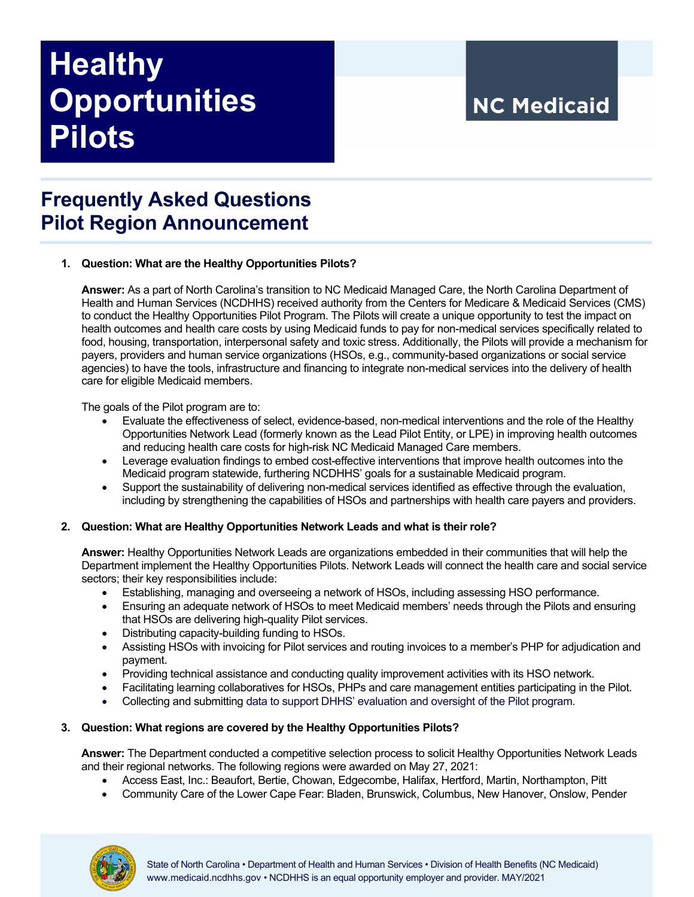# **Healthy Opportunities Pilots**

## **NC Medicaid**

### **Frequently Asked Questions Pilot Region Announcement**

#### **1. Question: What are the Healthy Opportunities Pilots?**

**Answer:** As a part of North Carolina's transition to NC Medicaid Managed Care, the North Carolina Department of Health and Human Services (NCDHHS) received authority from the Centers for Medicare & Medicaid Services (CMS) to conduct the Healthy Opportunities Pilot Program. The Pilots will create a unique opportunity to test the impact on health outcomes and health care costs by using Medicaid funds to pay for non-medical services specifically related to food, housing, transportation, interpersonal safety and toxic stress. Additionally, the Pilots will provide a mechanism for payers, providers and human service organizations (HSOs, e.g., community-based organizations or social service agencies) to have the tools, infrastructure and financing to integrate non-medical services into the delivery of health care for eligible Medicaid members.

The goals of the Pilot program are to:

- Evaluate the effectiveness of select, evidence-based, non-medical interventions and the role of the Healthy Opportunities Network Lead (formerly known as the Lead Pilot Entity, or LPE) in improving health outcomes and reducing health care costs for high-risk NC Medicaid Managed Care members.
- Leverage evaluation findings to embed cost-effective interventions that improve health outcomes into the Medicaid program statewide, furthering NCDHHS' goals for a sustainable Medicaid program.
- Support the sustainability of delivering non-medical services identified as effective through the evaluation, including by strengthening the capabilities of HSOs and partnerships with health care payers and providers.

#### **2. Question: What are Healthy Opportunities Network Leads and what is their role?**

**Answer:** Healthy Opportunities Network Leads are organizations embedded in their communities that will help the Department implement the Healthy Opportunities Pilots. Network Leads will connect the health care and social service sectors; their key responsibilities include:

- Establishing, managing and overseeing a network of HSOs, including assessing HSO performance.
- Ensuring an adequate network of HSOs to meet Medicaid members' needs through the Pilots and ensuring that HSOs are delivering high-quality Pilot services.
- Distributing capacity-building funding to HSOs.
- Assisting HSOs with invoicing for Pilot services and routing invoices to a member's PHP for adjudication and payment.
- Providing technical assistance and conducting quality improvement activities with its HSO network.
- Facilitating learning collaboratives for HSOs, PHPs and care management entities participating in the Pilot.
- Collecting and submitting data to support DHHS' evaluation and oversight of the Pilot program.

#### **3. Question: What regions are covered by the Healthy Opportunities Pilots?**

**Answer:** The Department conducted a competitive selection process to solicit Healthy Opportunities Network Leads and their regional networks. The following regions were awarded on May 27, 2021:

- Access East, Inc.: Beaufort, Bertie, Chowan, Edgecombe, Halifax, Hertford, Martin, Northampton, Pitt
- Community Care of the Lower Cape Fear: Bladen, Brunswick, Columbus, New Hanover, Onslow, Pender

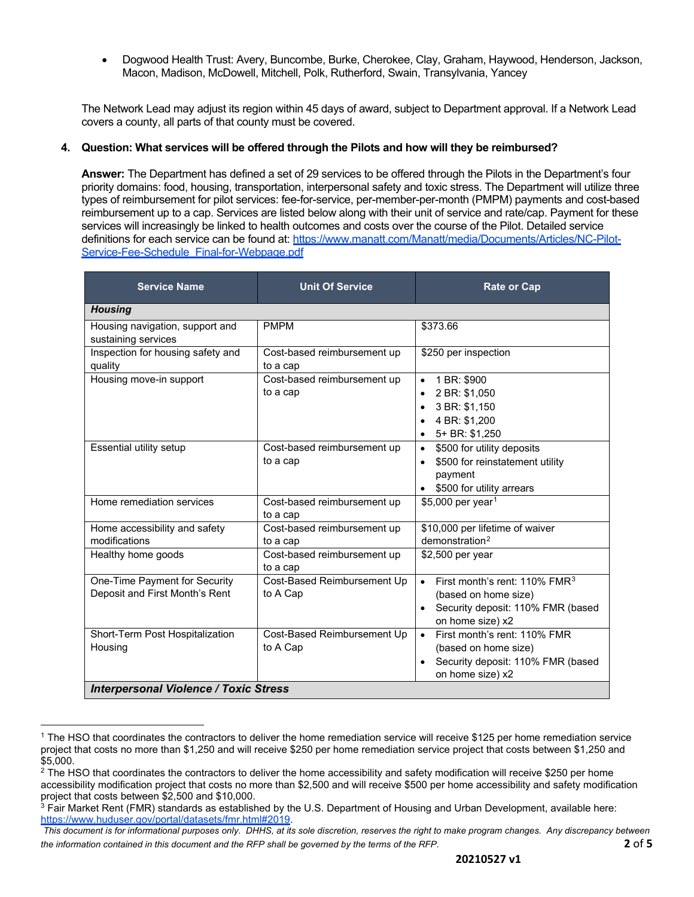• Dogwood Health Trust: Avery, Buncombe, Burke, Cherokee, Clay, Graham, Haywood, Henderson, Jackson, Macon, Madison, McDowell, Mitchell, Polk, Rutherford, Swain, Transylvania, Yancey

The Network Lead may adjust its region within 45 days of award, subject to Department approval. If a Network Lead covers a county, all parts of that county must be covered.

#### **4. Question: What services will be offered through the Pilots and how will they be reimbursed?**

**Answer:** The Department has defined a set of 29 services to be offered through the Pilots in the Department's four priority domains: food, housing, transportation, interpersonal safety and toxic stress. The Department will utilize three types of reimbursement for pilot services: fee-for-service, per-member-per-month (PMPM) payments and cost-based reimbursement up to a cap. Services are listed below along with their unit of service and rate/cap. Payment for these services will increasingly be linked to health outcomes and costs over the course of the Pilot. Detailed service definitions for each service can be found at[: https://www.manatt.com/Manatt/media/Documents/Articles/NC-Pilot-](https://www.manatt.com/Manatt/media/Documents/Articles/NC-Pilot-Service-Fee-Schedule_Final-for-Webpage.pdf)[Service-Fee-Schedule\\_Final-for-Webpage.pdf](https://www.manatt.com/Manatt/media/Documents/Articles/NC-Pilot-Service-Fee-Schedule_Final-for-Webpage.pdf)

| <b>Service Name</b>                                             | <b>Unit Of Service</b>                  | <b>Rate or Cap</b>                                                                                                                           |  |  |
|-----------------------------------------------------------------|-----------------------------------------|----------------------------------------------------------------------------------------------------------------------------------------------|--|--|
| <b>Housing</b>                                                  |                                         |                                                                                                                                              |  |  |
| Housing navigation, support and<br>sustaining services          | <b>PMPM</b>                             | \$373.66                                                                                                                                     |  |  |
| Inspection for housing safety and<br>quality                    | Cost-based reimbursement up<br>to a cap | \$250 per inspection                                                                                                                         |  |  |
| Housing move-in support                                         | Cost-based reimbursement up<br>to a cap | 1 BR: \$900<br>$\bullet$<br>2 BR: \$1,050<br>3 BR: \$1,150<br>4 BR: \$1,200<br>5+ BR: \$1,250<br>$\bullet$                                   |  |  |
| Essential utility setup                                         | Cost-based reimbursement up<br>to a cap | \$500 for utility deposits<br>$\bullet$<br>\$500 for reinstatement utility<br>$\bullet$<br>payment<br>\$500 for utility arrears              |  |  |
| Home remediation services                                       | Cost-based reimbursement up<br>to a cap | \$5,000 per year <sup>1</sup>                                                                                                                |  |  |
| Home accessibility and safety<br>modifications                  | Cost-based reimbursement up<br>to a cap | \$10,000 per lifetime of waiver<br>demonstration <sup>2</sup>                                                                                |  |  |
| Healthy home goods                                              | Cost-based reimbursement up<br>to a cap | \$2,500 per year                                                                                                                             |  |  |
| One-Time Payment for Security<br>Deposit and First Month's Rent | Cost-Based Reimbursement Up<br>to A Cap | • First month's rent: $110\%$ FMR <sup>3</sup><br>(based on home size)<br>Security deposit: 110% FMR (based<br>$\bullet$<br>on home size) x2 |  |  |
| Short-Term Post Hospitalization<br>Housing                      | Cost-Based Reimbursement Up<br>to A Cap | First month's rent: 110% FMR<br>$\bullet$<br>(based on home size)<br>Security deposit: 110% FMR (based<br>$\bullet$<br>on home size) x2      |  |  |
| <b>Interpersonal Violence / Toxic Stress</b>                    |                                         |                                                                                                                                              |  |  |

<span id="page-1-0"></span><sup>1</sup> The HSO that coordinates the contractors to deliver the home remediation service will receive \$125 per home remediation service project that costs no more than \$1,250 and will receive \$250 per home remediation service project that costs between \$1,250 and \$5,000.

<span id="page-1-1"></span> $2$  The HSO that coordinates the contractors to deliver the home accessibility and safety modification will receive \$250 per home accessibility modification project that costs no more than \$2,500 and will receive \$500 per home accessibility and safety modification project that costs between \$2,500 and \$10,000.

<span id="page-1-2"></span> $3$  Fair Market Rent (FMR) standards as established by the U.S. Department of Housing and Urban Development, available here: [https://www.huduser.gov/portal/datasets/fmr.html#2019.](https://www.huduser.gov/portal/datasets/fmr.html#2019)

*This document is for informational purposes only. DHHS, at its sole discretion, reserves the right to make program changes. Any discrepancy between the information contained in this document and the RFP shall be governed by the terms of the RFP.* **2** of **5**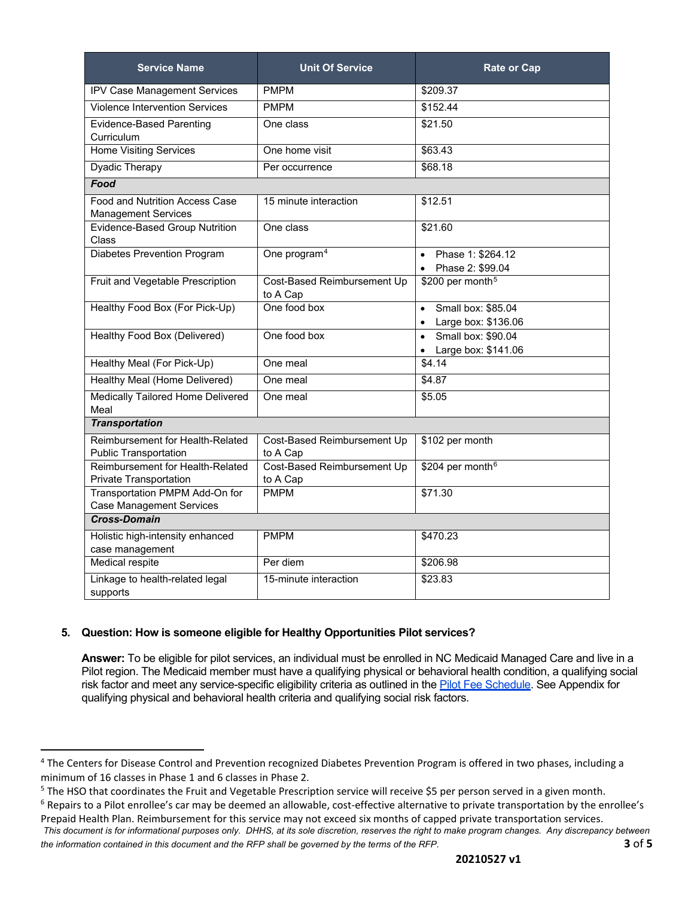| <b>Service Name</b>                                               | <b>Unit Of Service</b>                  | <b>Rate or Cap</b>                                                  |
|-------------------------------------------------------------------|-----------------------------------------|---------------------------------------------------------------------|
| <b>IPV Case Management Services</b>                               | <b>PMPM</b>                             | \$209.37                                                            |
| <b>Violence Intervention Services</b>                             | <b>PMPM</b>                             | \$152.44                                                            |
| <b>Evidence-Based Parenting</b><br>Curriculum                     | One class                               | \$21.50                                                             |
| <b>Home Visiting Services</b>                                     | One home visit                          | \$63.43                                                             |
| <b>Dyadic Therapy</b>                                             | Per occurrence                          | \$68.18                                                             |
| Food                                                              |                                         |                                                                     |
| Food and Nutrition Access Case<br><b>Management Services</b>      | 15 minute interaction                   | \$12.51                                                             |
| Evidence-Based Group Nutrition<br>Class                           | One class                               | \$21.60                                                             |
| <b>Diabetes Prevention Program</b>                                | One program <sup>4</sup>                | Phase 1: \$264.12<br>$\bullet$<br>Phase 2: \$99.04                  |
| Fruit and Vegetable Prescription                                  | Cost-Based Reimbursement Up<br>to A Cap | \$200 per month <sup>5</sup>                                        |
| Healthy Food Box (For Pick-Up)                                    | One food box                            | Small box: \$85.04<br>$\bullet$<br>Large box: \$136.06<br>$\bullet$ |
| Healthy Food Box (Delivered)                                      | One food box                            | Small box: \$90.04<br>$\bullet$<br>Large box: \$141.06              |
| Healthy Meal (For Pick-Up)                                        | One meal                                | \$4.14                                                              |
| Healthy Meal (Home Delivered)                                     | One meal                                | \$4.87                                                              |
| Medically Tailored Home Delivered<br>Meal                         | One meal                                | \$5.05                                                              |
| <b>Transportation</b>                                             |                                         |                                                                     |
| Reimbursement for Health-Related<br><b>Public Transportation</b>  | Cost-Based Reimbursement Up<br>to A Cap | \$102 per month                                                     |
| Reimbursement for Health-Related<br><b>Private Transportation</b> | Cost-Based Reimbursement Up<br>to A Cap | \$204 per month <sup>6</sup>                                        |
| Transportation PMPM Add-On for<br><b>Case Management Services</b> | <b>PMPM</b>                             | \$71.30                                                             |
| <b>Cross-Domain</b>                                               |                                         |                                                                     |
| Holistic high-intensity enhanced<br>case management               | <b>PMPM</b>                             | \$470.23                                                            |
| <b>Medical respite</b>                                            | Per diem                                | \$206.98                                                            |
| Linkage to health-related legal<br>supports                       | 15-minute interaction                   | \$23.83                                                             |

#### **5. Question: How is someone eligible for Healthy Opportunities Pilot services?**

**Answer:** To be eligible for pilot services, an individual must be enrolled in NC Medicaid Managed Care and live in a Pilot region. The Medicaid member must have a qualifying physical or behavioral health condition, a qualifying social risk factor and meet any service-specific eligibility criteria as outlined in the [Pilot Fee Schedule.](https://www.manatt.com/Manatt/media/Documents/Articles/NC-Pilot-Service-Fee-Schedule_Final-for-Webpage.pdf) See Appendix for qualifying physical and behavioral health criteria and qualifying social risk factors.

<span id="page-2-0"></span><sup>4</sup> The Centers for Disease Control and Prevention recognized Diabetes Prevention Program is offered in two phases, including a minimum of 16 classes in Phase 1 and 6 classes in Phase 2.

<span id="page-2-1"></span><sup>&</sup>lt;sup>5</sup> The HSO that coordinates the Fruit and Vegetable Prescription service will receive \$5 per person served in a given month.

<span id="page-2-2"></span><sup>&</sup>lt;sup>6</sup> Repairs to a Pilot enrollee's car may be deemed an allowable, cost-effective alternative to private transportation by the enrollee's Prepaid Health Plan. Reimbursement for this service may not exceed six months of capped private transportation services.

*This document is for informational purposes only. DHHS, at its sole discretion, reserves the right to make program changes. Any discrepancy between the information contained in this document and the RFP shall be governed by the terms of the RFP.* **3** of **5**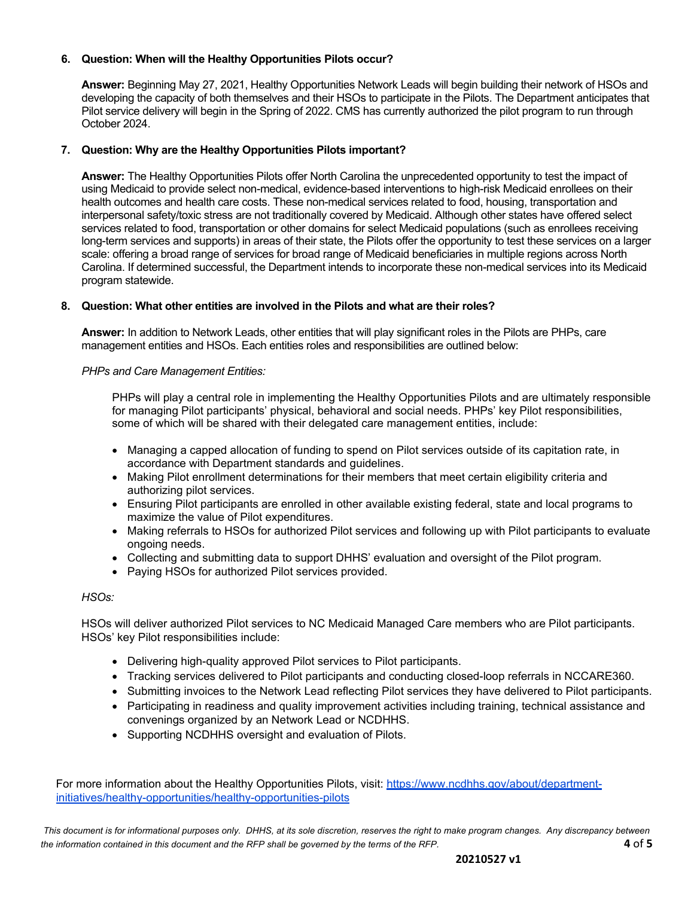#### **6. Question: When will the Healthy Opportunities Pilots occur?**

**Answer:** Beginning May 27, 2021, Healthy Opportunities Network Leads will begin building their network of HSOs and developing the capacity of both themselves and their HSOs to participate in the Pilots. The Department anticipates that Pilot service delivery will begin in the Spring of 2022. CMS has currently authorized the pilot program to run through October 2024.

#### **7. Question: Why are the Healthy Opportunities Pilots important?**

**Answer:** The Healthy Opportunities Pilots offer North Carolina the unprecedented opportunity to test the impact of using Medicaid to provide select non-medical, evidence-based interventions to high-risk Medicaid enrollees on their health outcomes and health care costs. These non-medical services related to food, housing, transportation and interpersonal safety/toxic stress are not traditionally covered by Medicaid. Although other states have offered select services related to food, transportation or other domains for select Medicaid populations (such as enrollees receiving long-term services and supports) in areas of their state, the Pilots offer the opportunity to test these services on a larger scale: offering a broad range of services for broad range of Medicaid beneficiaries in multiple regions across North Carolina. If determined successful, the Department intends to incorporate these non-medical services into its Medicaid program statewide.

#### **8. Question: What other entities are involved in the Pilots and what are their roles?**

**Answer:** In addition to Network Leads, other entities that will play significant roles in the Pilots are PHPs, care management entities and HSOs. Each entities roles and responsibilities are outlined below:

#### *PHPs and Care Management Entities:*

PHPs will play a central role in implementing the Healthy Opportunities Pilots and are ultimately responsible for managing Pilot participants' physical, behavioral and social needs. PHPs' key Pilot responsibilities, some of which will be shared with their delegated care management entities, include:

- Managing a capped allocation of funding to spend on Pilot services outside of its capitation rate, in accordance with Department standards and guidelines.
- Making Pilot enrollment determinations for their members that meet certain eligibility criteria and authorizing pilot services.
- Ensuring Pilot participants are enrolled in other available existing federal, state and local programs to maximize the value of Pilot expenditures.
- Making referrals to HSOs for authorized Pilot services and following up with Pilot participants to evaluate ongoing needs.
- Collecting and submitting data to support DHHS' evaluation and oversight of the Pilot program.
- Paying HSOs for authorized Pilot services provided.

#### *HSOs:*

HSOs will deliver authorized Pilot services to NC Medicaid Managed Care members who are Pilot participants. HSOs' key Pilot responsibilities include:

- Delivering high-quality approved Pilot services to Pilot participants.
- Tracking services delivered to Pilot participants and conducting closed-loop referrals in NCCARE360.
- Submitting invoices to the Network Lead reflecting Pilot services they have delivered to Pilot participants.
- Participating in readiness and quality improvement activities including training, technical assistance and convenings organized by an Network Lead or NCDHHS.
- Supporting NCDHHS oversight and evaluation of Pilots.

For more information about the Healthy Opportunities Pilots, visit: [https://www.ncdhhs.gov/about/department](https://www.ncdhhs.gov/about/department-initiatives/healthy-opportunities/healthy-opportunities-pilots)[initiatives/healthy-opportunities/healthy-opportunities-pilots](https://www.ncdhhs.gov/about/department-initiatives/healthy-opportunities/healthy-opportunities-pilots)

This document is for informational purposes only. DHHS, at its sole discretion, reserves the right to make program changes. Any discrepancy between *the information contained in this document and the RFP shall be governed by the terms of the RFP.* **4** of **5**